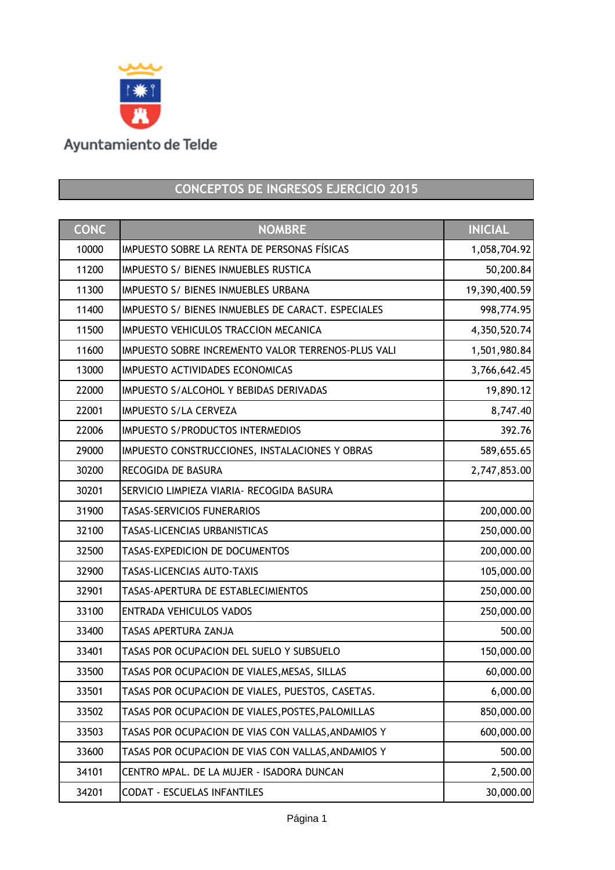

## **CONCEPTOS DE INGRESOS EJERCICIO 2015**

| <b>CONC</b> | <b>NOMBRE</b>                                      | <b>INICIAL</b> |
|-------------|----------------------------------------------------|----------------|
| 10000       | IMPUESTO SOBRE LA RENTA DE PERSONAS FÍSICAS        | 1,058,704.92   |
| 11200       | IMPUESTO S/ BIENES INMUEBLES RUSTICA               | 50,200.84      |
| 11300       | IMPUESTO S/ BIENES INMUEBLES URBANA                | 19,390,400.59  |
| 11400       | IMPUESTO S/ BIENES INMUEBLES DE CARACT. ESPECIALES | 998,774.95     |
| 11500       | IMPUESTO VEHICULOS TRACCION MECANICA               | 4,350,520.74   |
| 11600       | IMPUESTO SOBRE INCREMENTO VALOR TERRENOS-PLUS VALI | 1,501,980.84   |
| 13000       | IMPUESTO ACTIVIDADES ECONOMICAS                    | 3,766,642.45   |
| 22000       | IMPUESTO S/ALCOHOL Y BEBIDAS DERIVADAS             | 19,890.12      |
| 22001       | <b>IMPUESTO S/LA CERVEZA</b>                       | 8,747.40       |
| 22006       | <b>IMPUESTO S/PRODUCTOS INTERMEDIOS</b>            | 392.76         |
| 29000       | IMPUESTO CONSTRUCCIONES, INSTALACIONES Y OBRAS     | 589,655.65     |
| 30200       | RECOGIDA DE BASURA                                 | 2,747,853.00   |
| 30201       | SERVICIO LIMPIEZA VIARIA- RECOGIDA BASURA          |                |
| 31900       | <b>TASAS-SERVICIOS FUNERARIOS</b>                  | 200,000.00     |
| 32100       | TASAS-LICENCIAS URBANISTICAS                       | 250,000.00     |
| 32500       | TASAS-EXPEDICION DE DOCUMENTOS                     | 200,000.00     |
| 32900       | TASAS-LICENCIAS AUTO-TAXIS                         | 105,000.00     |
| 32901       | TASAS-APERTURA DE ESTABLECIMIENTOS                 | 250,000.00     |
| 33100       | <b>ENTRADA VEHICULOS VADOS</b>                     | 250,000.00     |
| 33400       | TASAS APERTURA ZANJA                               | 500.00         |
| 33401       | TASAS POR OCUPACION DEL SUELO Y SUBSUELO           | 150,000.00     |
| 33500       | TASAS POR OCUPACION DE VIALES, MESAS, SILLAS       | 60,000.00      |
| 33501       | TASAS POR OCUPACION DE VIALES, PUESTOS, CASETAS.   | 6,000.00       |
| 33502       | TASAS POR OCUPACION DE VIALES, POSTES, PALOMILLAS  | 850,000.00     |
| 33503       | TASAS POR OCUPACION DE VIAS CON VALLAS, ANDAMIOS Y | 600,000.00     |
| 33600       | TASAS POR OCUPACION DE VIAS CON VALLAS, ANDAMIOS Y | 500.00         |
| 34101       | CENTRO MPAL. DE LA MUJER - ISADORA DUNCAN          | 2,500.00       |
| 34201       | <b>CODAT - ESCUELAS INFANTILES</b>                 | 30,000.00      |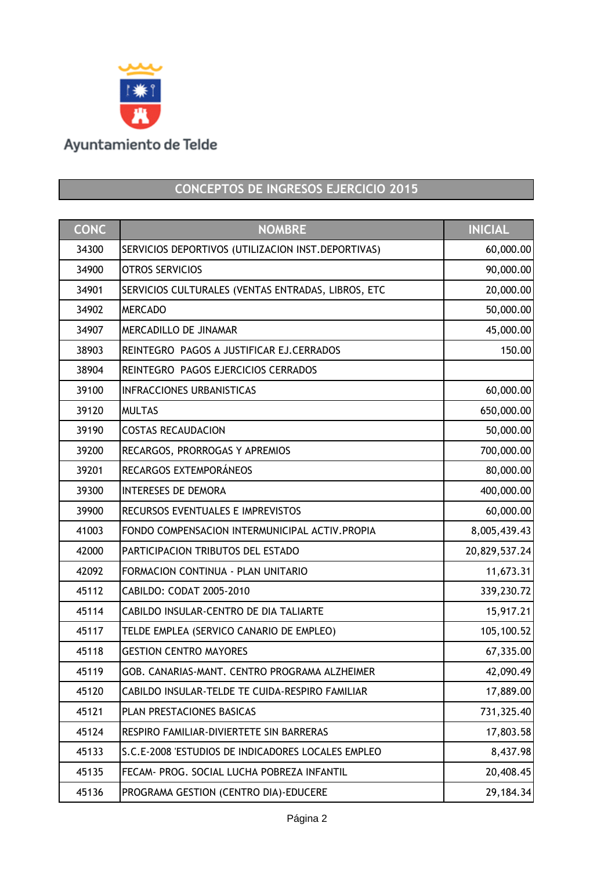

## **CONCEPTOS DE INGRESOS EJERCICIO 2015**

| <b>CONC</b> | <b>NOMBRE</b>                                       | <b>INICIAL</b> |
|-------------|-----------------------------------------------------|----------------|
| 34300       | SERVICIOS DEPORTIVOS (UTILIZACION INST. DEPORTIVAS) | 60,000.00      |
| 34900       | <b>OTROS SERVICIOS</b>                              | 90,000.00      |
| 34901       | SERVICIOS CULTURALES (VENTAS ENTRADAS, LIBROS, ETC  | 20,000.00      |
| 34902       | <b>MERCADO</b>                                      | 50,000.00      |
| 34907       | MERCADILLO DE JINAMAR                               | 45,000.00      |
| 38903       | REINTEGRO PAGOS A JUSTIFICAR EJ.CERRADOS            | 150.00         |
| 38904       | REINTEGRO PAGOS EJERCICIOS CERRADOS                 |                |
| 39100       | <b>INFRACCIONES URBANISTICAS</b>                    | 60,000.00      |
| 39120       | <b>MULTAS</b>                                       | 650,000.00     |
| 39190       | <b>COSTAS RECAUDACION</b>                           | 50,000.00      |
| 39200       | RECARGOS, PRORROGAS Y APREMIOS                      | 700,000.00     |
| 39201       | RECARGOS EXTEMPORÁNEOS                              | 80,000.00      |
| 39300       | <b>INTERESES DE DEMORA</b>                          | 400,000.00     |
| 39900       | RECURSOS EVENTUALES E IMPREVISTOS                   | 60,000.00      |
| 41003       | FONDO COMPENSACION INTERMUNICIPAL ACTIV.PROPIA      | 8,005,439.43   |
| 42000       | PARTICIPACION TRIBUTOS DEL ESTADO                   | 20,829,537.24  |
| 42092       | FORMACION CONTINUA - PLAN UNITARIO                  | 11,673.31      |
| 45112       | CABILDO: CODAT 2005-2010                            | 339,230.72     |
| 45114       | CABILDO INSULAR-CENTRO DE DIA TALIARTE              | 15,917.21      |
| 45117       | TELDE EMPLEA (SERVICO CANARIO DE EMPLEO)            | 105,100.52     |
| 45118       | <b>GESTION CENTRO MAYORES</b>                       | 67,335.00      |
| 45119       | GOB. CANARIAS-MANT. CENTRO PROGRAMA ALZHEIMER       | 42,090.49      |
| 45120       | CABILDO INSULAR-TELDE TE CUIDA-RESPIRO FAMILIAR     | 17,889.00      |
| 45121       | PLAN PRESTACIONES BASICAS                           | 731,325.40     |
| 45124       | RESPIRO FAMILIAR-DIVIERTETE SIN BARRERAS            | 17,803.58      |
| 45133       | S.C.E-2008 'ESTUDIOS DE INDICADORES LOCALES EMPLEO  | 8,437.98       |
| 45135       | FECAM- PROG. SOCIAL LUCHA POBREZA INFANTIL          | 20,408.45      |
| 45136       | PROGRAMA GESTION (CENTRO DIA)-EDUCERE               | 29,184.34      |